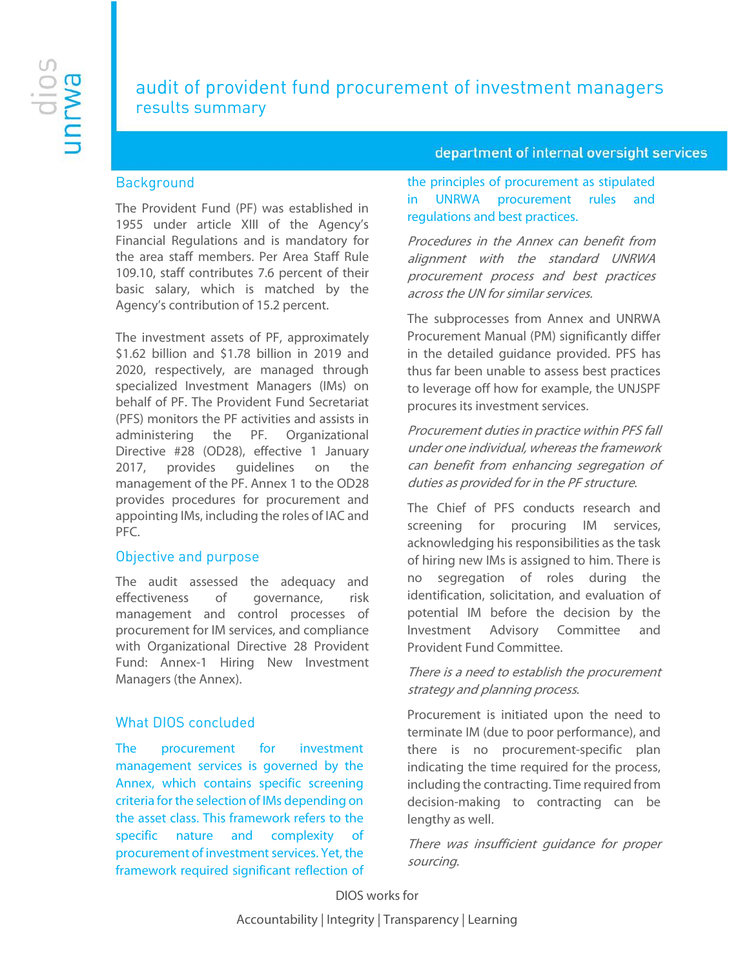# audit of provident fund procurement of investment managers results summary

#### department of internal oversight services

#### **Background**

The Provident Fund (PF) was established in 1955 under article XIII of the Agency's Financial Regulations and is mandatory for the area staff members. Per Area Staff Rule 109.10, staff contributes 7.6 percent of their basic salary, which is matched by the Agency's contribution of 15.2 percent.

The investment assets of PF, approximately \$1.62 billion and \$1.78 billion in 2019 and 2020, respectively, are managed through specialized Investment Managers (IMs) on behalf of PF. The Provident Fund Secretariat (PFS) monitors the PF activities and assists in administering the PF. Organizational Directive #28 (OD28), effective 1 January 2017, provides guidelines on the management of the PF. Annex 1 to the OD28 provides procedures for procurement and appointing IMs, including the roles of IAC and PFC.

#### Objective and purpose

The audit assessed the adequacy and effectiveness of governance, risk management and control processes of procurement for IM services, and compliance with Organizational Directive 28 Provident Fund: Annex-1 Hiring New Investment Managers (the Annex).

#### What DIOS concluded

The procurement for investment management services is governed by the Annex, which contains specific screening criteria for the selection of IMs depending on the asset class. This framework refers to the specific nature and complexity of procurement of investment services. Yet, the framework required significant reflection of

the principles of procurement as stipulated in UNRWA procurement rules and regulations and best practices.

Procedures in the Annex can benefit from alignment with the standard UNRWA procurement process and best practices across the UN for similar services.

The subprocesses from Annex and UNRWA Procurement Manual (PM) significantly differ in the detailed guidance provided. PFS has thus far been unable to assess best practices to leverage off how for example, the UNJSPF procures its investment services.

Procurement duties in practice within PFS fall under one individual, whereas the framework can benefit from enhancing segregation of duties as provided for in the PF structure.

The Chief of PFS conducts research and screening for procuring IM services, acknowledging his responsibilities as the task of hiring new IMs is assigned to him. There is no segregation of roles during the identification, solicitation, and evaluation of potential IM before the decision by the Investment Advisory Committee and Provident Fund Committee.

There is a need to establish the procurement strategy and planning process.

Procurement is initiated upon the need to terminate IM (due to poor performance), and there is no procurement-specific plan indicating the time required for the process, including the contracting. Time required from decision-making to contracting can be lengthy as well.

There was insufficient guidance for proper sourcing.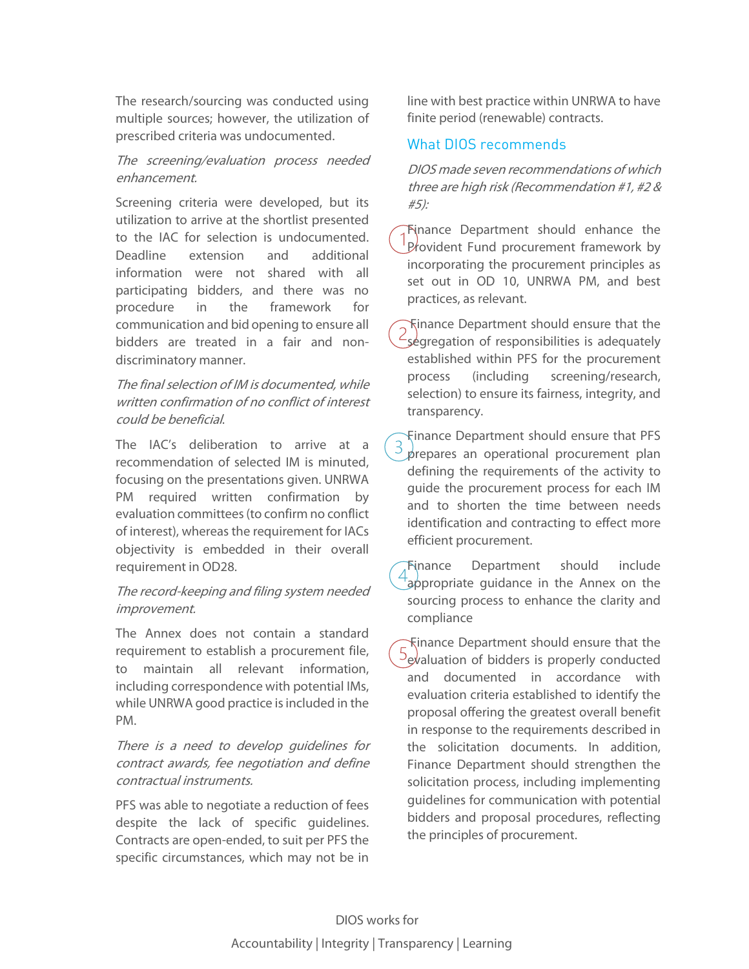The research/sourcing was conducted using multiple sources; however, the utilization of prescribed criteria was undocumented.

### The screening/evaluation process needed enhancement.

Screening criteria were developed, but its utilization to arrive at the shortlist presented to the IAC for selection is undocumented. Deadline extension and additional information were not shared with all participating bidders, and there was no procedure in the framework for communication and bid opening to ensure all bidders are treated in a fair and nondiscriminatory manner.

## The final selection of IM is documented, while written confirmation of no conflict of interest could be beneficial.

The IAC's deliberation to arrive at a recommendation of selected IM is minuted, focusing on the presentations given. UNRWA PM required written confirmation by evaluation committees (to confirm no conflict of interest), whereas the requirement for IACs objectivity is embedded in their overall requirement in OD28.

### The record-keeping and filing system needed improvement.

The Annex does not contain a standard requirement to establish a procurement file, to maintain all relevant information, including correspondence with potential IMs, while UNRWA good practice is included in the PM.

There is a need to develop guidelines for contract awards, fee negotiation and define contractual instruments.

PFS was able to negotiate a reduction of fees despite the lack of specific guidelines. Contracts are open-ended, to suit per PFS the specific circumstances, which may not be in line with best practice within UNRWA to have finite period (renewable) contracts.

## What DIOS recommends

DIOS made seven recommendations of which three are high risk (Recommendation #1, #2 & #5):

Finance Department should enhance the Provident Fund procurement framework by incorporating the procurement principles as set out in OD 10, UNRWA PM, and best practices, as relevant.

Finance Department should ensure that the segregation of responsibilities is adequately established within PFS for the procurement process (including screening/research, selection) to ensure its fairness, integrity, and transparency.

Finance Department should ensure that PFS prepares an operational procurement plan defining the requirements of the activity to guide the procurement process for each IM and to shorten the time between needs identification and contracting to effect more efficient procurement.

Finance Department should include appropriate guidance in the Annex on the sourcing process to enhance the clarity and compliance

Finance Department should ensure that the  $5$  evaluation of bidders is properly conducted and documented in accordance with evaluation criteria established to identify the proposal offering the greatest overall benefit in response to the requirements described in the solicitation documents. In addition, Finance Department should strengthen the solicitation process, including implementing guidelines for communication with potential bidders and proposal procedures, reflecting the principles of procurement.